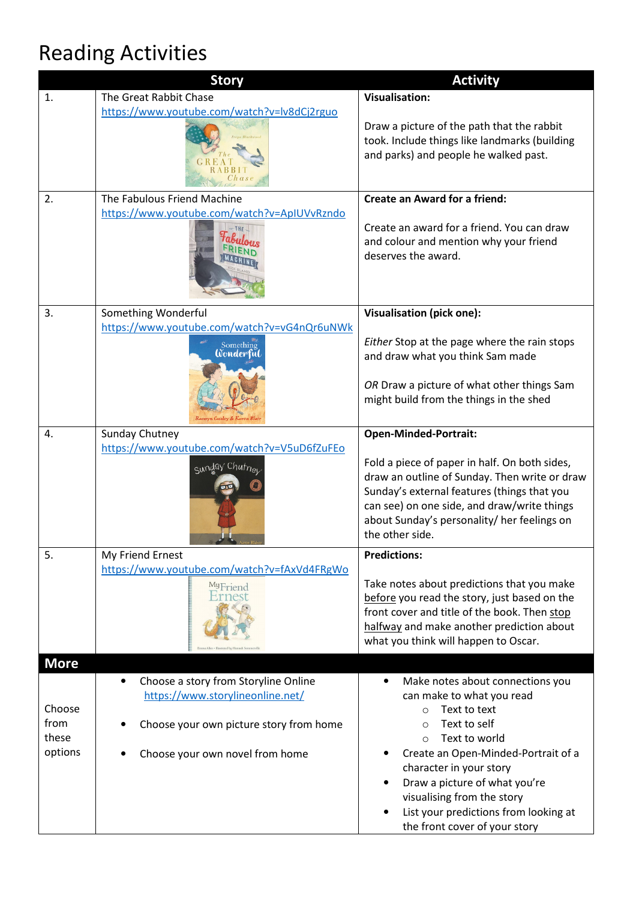## Reading Activities

|                                    | <b>Story</b>                                                                                                                                                        | <b>Activity</b>                                                                                                                                                                                                                                                                                                                                                          |
|------------------------------------|---------------------------------------------------------------------------------------------------------------------------------------------------------------------|--------------------------------------------------------------------------------------------------------------------------------------------------------------------------------------------------------------------------------------------------------------------------------------------------------------------------------------------------------------------------|
| 1.                                 | The Great Rabbit Chase                                                                                                                                              | <b>Visualisation:</b>                                                                                                                                                                                                                                                                                                                                                    |
|                                    | https://www.youtube.com/watch?v=lv8dCj2rguo                                                                                                                         | Draw a picture of the path that the rabbit<br>took. Include things like landmarks (building<br>and parks) and people he walked past.                                                                                                                                                                                                                                     |
| 2.                                 | The Fabulous Friend Machine                                                                                                                                         | <b>Create an Award for a friend:</b>                                                                                                                                                                                                                                                                                                                                     |
|                                    | https://www.youtube.com/watch?v=ApIUVvRzndo                                                                                                                         | Create an award for a friend. You can draw<br>and colour and mention why your friend<br>deserves the award.                                                                                                                                                                                                                                                              |
| 3.                                 | Something Wonderful                                                                                                                                                 | Visualisation (pick one):                                                                                                                                                                                                                                                                                                                                                |
|                                    | https://www.youtube.com/watch?v=vG4nQr6uNWk<br>Something<br>Wonderful                                                                                               | Either Stop at the page where the rain stops<br>and draw what you think Sam made                                                                                                                                                                                                                                                                                         |
|                                    |                                                                                                                                                                     | OR Draw a picture of what other things Sam<br>might build from the things in the shed                                                                                                                                                                                                                                                                                    |
| 4.                                 | Sunday Chutney                                                                                                                                                      | <b>Open-Minded-Portrait:</b>                                                                                                                                                                                                                                                                                                                                             |
|                                    | https://www.youtube.com/watch?v=V5uD6fZuFEo<br>Sunday Chutner                                                                                                       | Fold a piece of paper in half. On both sides,<br>draw an outline of Sunday. Then write or draw<br>Sunday's external features (things that you<br>can see) on one side, and draw/write things<br>about Sunday's personality/ her feelings on<br>the other side.                                                                                                           |
| 5.                                 | My Friend Ernest                                                                                                                                                    | <b>Predictions:</b>                                                                                                                                                                                                                                                                                                                                                      |
|                                    | https://www.youtube.com/watch?v=fAxVd4FRgWo<br>MyFriend                                                                                                             | Take notes about predictions that you make<br>before you read the story, just based on the<br>front cover and title of the book. Then stop<br>halfway and make another prediction about<br>what you think will happen to Oscar.                                                                                                                                          |
| <b>More</b>                        |                                                                                                                                                                     |                                                                                                                                                                                                                                                                                                                                                                          |
| Choose<br>from<br>these<br>options | Choose a story from Storyline Online<br>$\bullet$<br>https://www.storylineonline.net/<br>Choose your own picture story from home<br>Choose your own novel from home | Make notes about connections you<br>$\bullet$<br>can make to what you read<br>Text to text<br>$\Omega$<br>Text to self<br>$\circ$<br>Text to world<br>$\circ$<br>Create an Open-Minded-Portrait of a<br>character in your story<br>Draw a picture of what you're<br>visualising from the story<br>List your predictions from looking at<br>the front cover of your story |